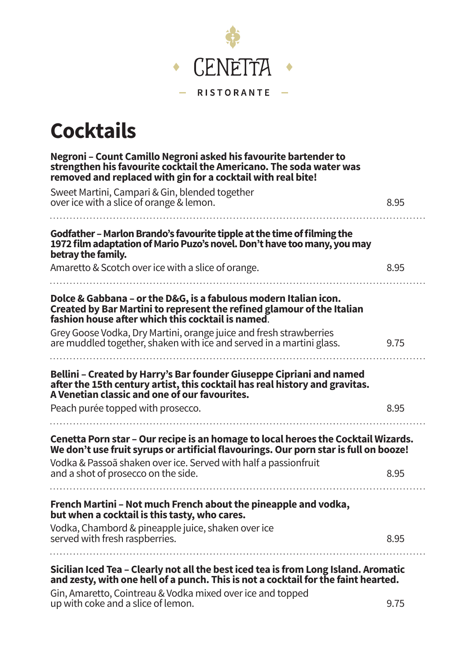

#### **Cocktails**

| Negroni - Count Camillo Negroni asked his favourite bartender to<br>strengthen his favourite cocktail the Americano. The soda water was<br>removed and replaced with gin for a cocktail with real bite!                                                               |      |
|-----------------------------------------------------------------------------------------------------------------------------------------------------------------------------------------------------------------------------------------------------------------------|------|
| Sweet Martini, Campari & Gin, blended together                                                                                                                                                                                                                        |      |
| over ice with a slice of orange & lemon.                                                                                                                                                                                                                              | 8.95 |
| Godfather - Marlon Brando's favourite tipple at the time of filming the<br>1972 film adaptation of Mario Puzo's novel. Don't have too many, you may<br>betray the family.                                                                                             |      |
| Amaretto & Scotch over ice with a slice of orange.                                                                                                                                                                                                                    | 8.95 |
| Dolce & Gabbana - or the D&G, is a fabulous modern Italian icon.<br>Created by Bar Martini to represent the refined glamour of the Italian<br>fashion house after which this cocktail is named.                                                                       |      |
| Grey Goose Vodka, Dry Martini, orange juice and fresh strawberries<br>are muddled together, shaken with ice and served in a martini glass.                                                                                                                            | 9.75 |
| Bellini - Created by Harry's Bar founder Giuseppe Cipriani and named<br>after the 15th century artist, this cocktail has real history and gravitas.<br>A Venetian classic and one of our favourites.                                                                  |      |
| Peach purée topped with prosecco.                                                                                                                                                                                                                                     | 8.95 |
| Cenetta Porn star - Our recipe is an homage to local heroes the Cocktail Wizards.<br>We don't use fruit syrups or artificial flavourings. Our porn star is full on booze!                                                                                             |      |
| Vodka & Passoã shaken over ice. Served with half a passionfruit<br>and a shot of prosecco on the side.                                                                                                                                                                | 8.95 |
| French Martini - Not much French about the pineapple and vodka,                                                                                                                                                                                                       |      |
| but when a cocktail is this tasty, who cares.                                                                                                                                                                                                                         |      |
| Vodka, Chambord & pineapple juice, shaken over ice<br>served with fresh raspberries.                                                                                                                                                                                  | 8.95 |
| Sicilian Iced Tea - Clearly not all the best iced tea is from Long Island. Aromatic<br>and zesty, with one hell of a punch. This is not a cocktail for the faint hearted.<br>$C_{11}$ Are control $C_{21}$ interests $0$ Ms dlug active discussion and to an educated |      |

Gin, Amaretto, Cointreau & Vodka mixed over ice and topped up with coke and a slice of lemon. 9.75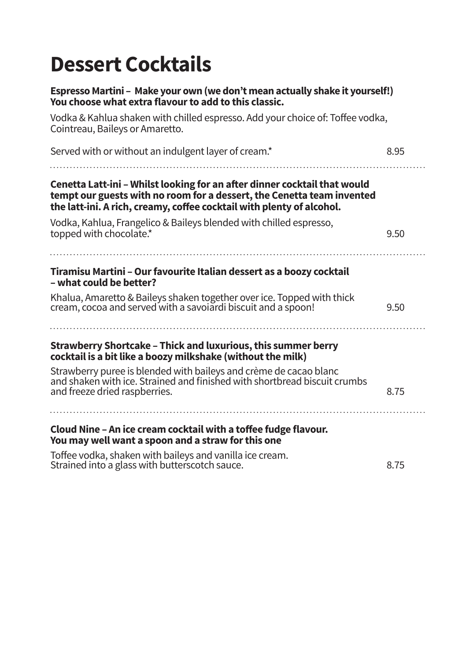#### **Dessert Cocktails**

| Espresso Martini - Make your own (we don't mean actually shake it yourself!)<br>You choose what extra flavour to add to this classic.                                                                                        |      |
|------------------------------------------------------------------------------------------------------------------------------------------------------------------------------------------------------------------------------|------|
| Vodka & Kahlua shaken with chilled espresso. Add your choice of: Toffee vodka,<br>Cointreau, Baileys or Amaretto.                                                                                                            |      |
| Served with or without an indulgent layer of cream.*                                                                                                                                                                         | 8.95 |
| Cenetta Latt-ini - Whilst looking for an after dinner cocktail that would<br>tempt our guests with no room for a dessert, the Cenetta team invented<br>the latt-ini. A rich, creamy, coffee cocktail with plenty of alcohol. |      |
| Vodka, Kahlua, Frangelico & Baileys blended with chilled espresso,<br>topped with chocolate.*                                                                                                                                | 9.50 |
| Tiramisu Martini - Our favourite Italian dessert as a boozy cocktail<br>- what could be better?                                                                                                                              |      |
| Khalua, Amaretto & Baileys shaken together over ice. Topped with thick<br>cream, cocoa and served with a savoiardi biscuit and a spoon!                                                                                      | 9.50 |
| Strawberry Shortcake - Thick and luxurious, this summer berry<br>cocktail is a bit like a boozy milkshake (without the milk)                                                                                                 |      |
| Strawberry puree is blended with baileys and crème de cacao blanc<br>and shaken with ice. Strained and finished with shortbread biscuit crumbs<br>and freeze dried raspberries.                                              | 8.75 |
| Cloud Nine - An ice cream cocktail with a toffee fudge flavour.<br>You may well want a spoon and a straw for this one                                                                                                        |      |
| Toffee vodka, shaken with baileys and vanilla ice cream.<br>Strained into a glass with butterscotch sauce.                                                                                                                   | 8.75 |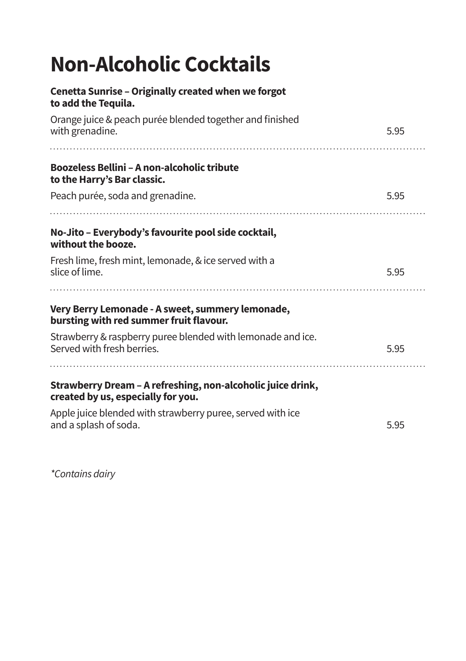## **Non-Alcoholic Cocktails**

| Cenetta Sunrise - Originally created when we forgot<br>to add the Tequila.                        |      |
|---------------------------------------------------------------------------------------------------|------|
| Orange juice & peach purée blended together and finished<br>with grenadine.                       | 5.95 |
| <b>Boozeless Bellini - A non-alcoholic tribute</b><br>to the Harry's Bar classic.                 |      |
| Peach purée, soda and grenadine.                                                                  | 5.95 |
| No-Jito – Everybody's favourite pool side cocktail,<br>without the booze.                         |      |
| Fresh lime, fresh mint, lemonade, & ice served with a<br>slice of lime.                           | 5.95 |
| Very Berry Lemonade - A sweet, summery lemonade,<br>bursting with red summer fruit flavour.       |      |
| Strawberry & raspberry puree blended with lemonade and ice.<br>Served with fresh berries.         | 5.95 |
| Strawberry Dream - A refreshing, non-alcoholic juice drink,<br>created by us, especially for you. |      |
| Apple juice blended with strawberry puree, served with ice<br>and a splash of soda.               | 5.95 |

*\*Contains dairy*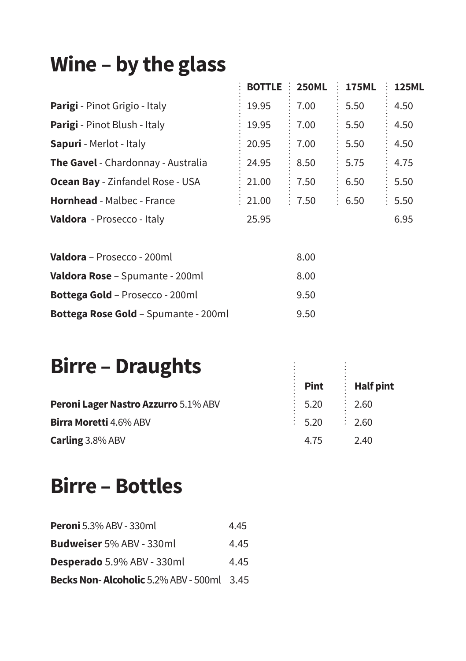# **Wine – by the glass**

| Wine $-$ by the glass                     |                |        |                    |              |
|-------------------------------------------|----------------|--------|--------------------|--------------|
|                                           | BOTTLE : 250ML |        | <b>175ML</b>       | <b>125ML</b> |
| Parigi - Pinot Grigio - Italy             | 19.95          | 7.00   | 5.50               | 4.50         |
| <b>Parigi</b> - Pinot Blush - Italy       | 19.95          | 7.00   | 5.50               | 4.50         |
| <b>Sapuri</b> - Merlot - Italy            | 20.95          | 7.00   | 5.50               | 4.50         |
| <b>The Gavel</b> - Chardonnay - Australia | 24.95          | 8.50   | 5.75               | 4.75         |
| <b>Ocean Bay</b> - Zinfandel Rose - USA   | 21.00          | 7.50   | 6.50               | 5.50         |
| <b>Hornhead</b> - Malbec - France         | : 21.00        | : 7.50 | $\frac{1}{2}$ 6.50 | 5.50         |
| <b>Valdora</b> - Prosecco - Italy         | 25.95          |        |                    | 6.95         |
|                                           |                |        |                    |              |

| <b>Valdora</b> - Prosecco - 200ml           | 8.00 |
|---------------------------------------------|------|
| <b>Valdora Rose</b> - Spumante - 200ml      | 8.00 |
| <b>Bottega Gold - Prosecco - 200ml</b>      | 9.50 |
| <b>Bottega Rose Gold - Spumante - 200ml</b> | 9.50 |

#### **Birre – Draughts**

| <b>Birre – Draughts</b>              |                    |                    |
|--------------------------------------|--------------------|--------------------|
|                                      | <b>Pint</b>        | $\vdots$ Half pint |
| Peroni Lager Nastro Azzurro 5.1% ABV | 5.20               | $\frac{1}{2}$ 2.60 |
| Birra Moretti 4.6% ABV               | $\frac{1}{2}$ 5.20 | .760               |
| Carling 3.8% ABV                     | 4.75               | 2.40               |

#### **Birre – Bottles**

| <b>Peroni</b> 5.3% ABV - 330ml                   | 4.45 |
|--------------------------------------------------|------|
| Budweiser 5% ABV - 330ml                         | 4.45 |
| <b>Desperado</b> 5.9% ABV - 330ml                | 4.45 |
| <b>Becks Non-Alcoholic</b> 5.2% ABV - 500ml 3.45 |      |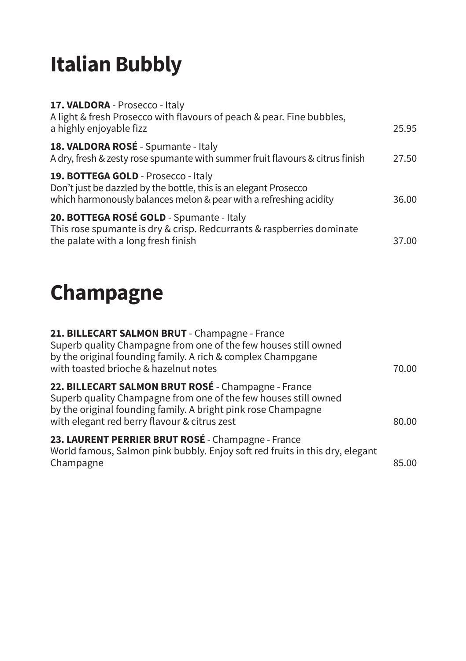# **Italian Bubbly**

| 17. VALDORA - Prosecco - Italy<br>A light & fresh Prosecco with flavours of peach & pear. Fine bubbles,<br>a highly enjoyable fizz                                           | 25.95 |
|------------------------------------------------------------------------------------------------------------------------------------------------------------------------------|-------|
| 18. VALDORA ROSÉ - Spumante - Italy<br>A dry, fresh & zesty rose spumante with summer fruit flavours & citrus finish                                                         | 27.50 |
| 19. BOTTEGA GOLD - Prosecco - Italy<br>Don't just be dazzled by the bottle, this is an elegant Prosecco<br>which harmonously balances melon & pear with a refreshing acidity | 36.00 |
| 20. BOTTEGA ROSÉ GOLD - Spumante - Italy<br>This rose spumante is dry & crisp. Redcurrants & raspberries dominate<br>the palate with a long fresh finish                     | 37.00 |

# **Champagne**

| 21. BILLECART SALMON BRUT - Champagne - France<br>Superb quality Champagne from one of the few houses still owned<br>by the original founding family. A rich & complex Champgane<br>with toasted brioche & hazelnut notes               | 70.00 |
|-----------------------------------------------------------------------------------------------------------------------------------------------------------------------------------------------------------------------------------------|-------|
| 22. BILLECART SALMON BRUT ROSÉ - Champagne - France<br>Superb quality Champagne from one of the few houses still owned<br>by the original founding family. A bright pink rose Champagne<br>with elegant red berry flavour & citrus zest | 80.00 |
| 23. LAURENT PERRIER BRUT ROSÉ - Champagne - France<br>World famous, Salmon pink bubbly. Enjoy soft red fruits in this dry, elegant<br>Champagne                                                                                         | 85.00 |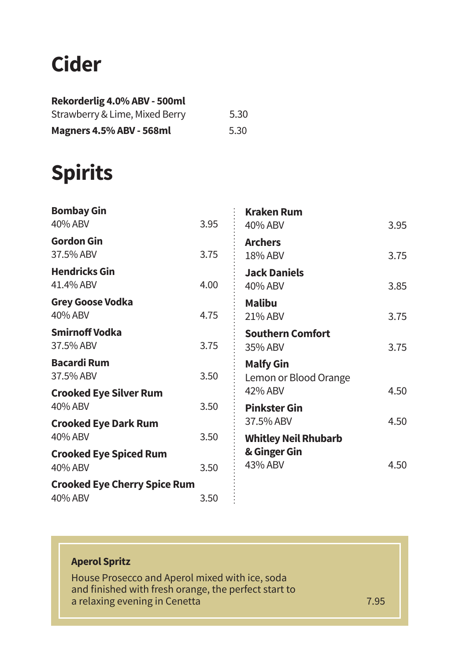#### **Cider**

| Rekorderlig 4.0% ABV - 500ml   |      |
|--------------------------------|------|
| Strawberry & Lime, Mixed Berry | 5.30 |
| Magners 4.5% ABV - 568ml       | 5.30 |

### **Spirits**

| <b>Bombay Gin</b><br>40% ABV                   | 3.95 | <b>Kraken Rum</b><br>40% ABV              | 3.95 |
|------------------------------------------------|------|-------------------------------------------|------|
| <b>Gordon Gin</b><br>37.5% ABV                 | 3.75 | <b>Archers</b><br>18% ABV                 | 3.75 |
| <b>Hendricks Gin</b><br>41.4% ABV              | 4.00 | <b>Jack Daniels</b><br>40% ABV            | 3.85 |
| Grey Goose Vodka<br>40% ABV                    | 4.75 | <b>Malibu</b><br>21% ABV                  | 3.75 |
| <b>Smirnoff Vodka</b><br>37.5% ABV             | 3.75 | <b>Southern Comfort</b><br>35% ABV        | 3.75 |
| <b>Bacardi Rum</b><br>37.5% ABV                | 3.50 | <b>Malfy Gin</b><br>Lemon or Blood Orange |      |
| <b>Crooked Eye Silver Rum</b><br>40% ABV       | 3.50 | 42% ABV<br><b>Pinkster Gin</b>            | 4.50 |
| <b>Crooked Eye Dark Rum</b><br>40% ABV         | 3.50 | 37.5% ABV<br><b>Whitley Neil Rhubarb</b>  | 4.50 |
| <b>Crooked Eye Spiced Rum</b><br>40% ABV       | 3.50 | & Ginger Gin<br>43% ABV                   | 4.50 |
| <b>Crooked Eye Cherry Spice Rum</b><br>40% ABV | 3.50 |                                           |      |

#### **Aperol Spritz**

House Prosecco and Aperol mixed with ice, soda and finished with fresh orange, the perfect start to a relaxing evening in Cenetta7.95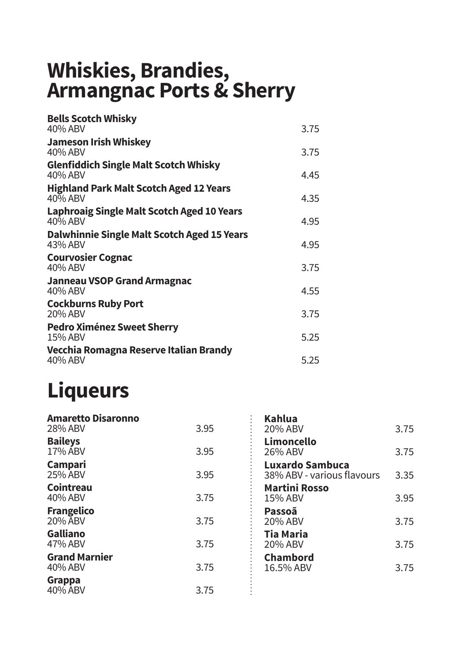#### **Whiskies, Brandies, Armangnac Ports & Sherry**

| <b>Bells Scotch Whisky</b><br>40% ABV                        | 3.75 |
|--------------------------------------------------------------|------|
| Jameson Irish Whiskey<br>40% ABV                             | 3.75 |
| <b>Glenfiddich Single Malt Scotch Whisky</b><br>40% ABV      | 4.45 |
| <b>Highland Park Malt Scotch Aged 12 Years</b><br>40% ABV    | 4.35 |
| <b>Laphroaig Single Malt Scotch Aged 10 Years</b><br>40% ABV | 4.95 |
| Dalwhinnie Single Malt Scotch Aged 15 Years<br>43% ABV       | 4.95 |
| <b>Courvosier Cognac</b><br>40% ABV                          | 3.75 |
| Janneau VSOP Grand Armagnac<br>40% ABV                       | 4.55 |
| <b>Cockburns Ruby Port</b><br>20% ABV                        | 3.75 |
| Pedro Ximénez Sweet Sherry<br>15% ABV                        | 5.25 |
| Vecchia Romagna Reserve Italian Brandy<br>40% ABV            | 5.25 |
|                                                              |      |

#### **Liqueurs**

| <b>Amaretto Disaronno</b><br>28% ABV | 3.95 | <b>Kahlua</b><br>20% ABV                      | 3.75 |
|--------------------------------------|------|-----------------------------------------------|------|
| <b>Baileys</b><br>17% ABV            | 3.95 | Limoncello<br>26% ABV                         | 3.75 |
| Campari<br>25% ABV                   | 3.95 | Luxardo Sambuca<br>38% ABV - various flavours | 3.35 |
| Cointreau<br>40% ABV                 | 3.75 | <b>Martini Rosso</b><br>15% ABV               | 3.95 |
| <b>Frangelico</b><br>20% ABV         | 3.75 | Passoã<br>20% ABV                             | 3.75 |
| Galliano<br>47% ABV                  | 3.75 | <b>Tia Maria</b><br>20% ABV                   | 3.75 |
| <b>Grand Marnier</b><br>40% ABV      | 3.75 | <b>Chambord</b><br>16.5% ABV                  | 3.75 |
| Grappa<br>40% ABV                    | 3.75 |                                               |      |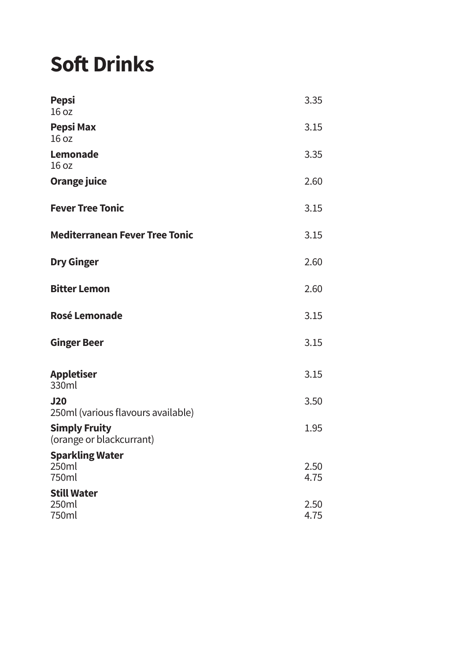# **Soft Drinks**

| <b>Pepsi</b><br>16 oz                            | 3.35         |
|--------------------------------------------------|--------------|
| Pepsi Max<br>16 oz                               | 3.15         |
| Lemonade<br>16 <sub>oz</sub>                     | 3.35         |
| Orange juice                                     | 2.60         |
| <b>Fever Tree Tonic</b>                          | 3.15         |
| <b>Mediterranean Fever Tree Tonic</b>            | 3.15         |
| <b>Dry Ginger</b>                                | 2.60         |
| <b>Bitter Lemon</b>                              | 2.60         |
| Rosé Lemonade                                    | 3.15         |
| <b>Ginger Beer</b>                               | 3.15         |
| Appletiser<br>330ml                              | 3.15         |
| <b>J20</b><br>250ml (various flavours available) | 3.50         |
| <b>Simply Fruity</b><br>(orange or blackcurrant) | 1.95         |
| <b>Sparkling Water</b><br>250ml<br>750ml         | 2.50<br>4.75 |
| <b>Still Water</b><br>250ml<br>750ml             | 2.50<br>4.75 |